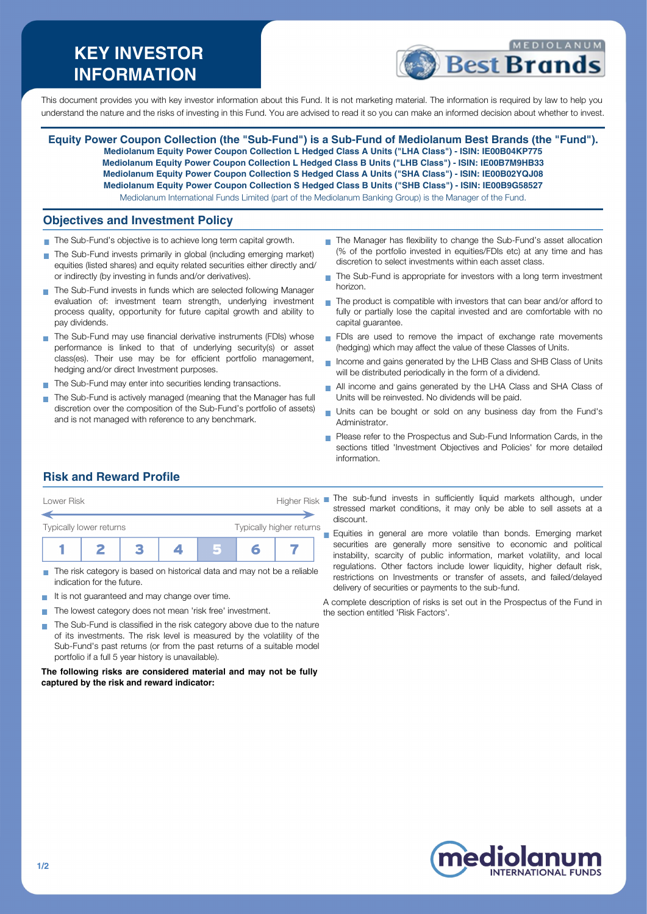# **KEY INVESTOR INFORMATION**



This document provides you with key investor information about this Fund. It is not marketing material. The information is required by law to help you understand the nature and the risks of investing in this Fund. You are advised to read it so you can make an informed decision about whether to invest.

**Equity Power Coupon Collection (the "Sub-Fund") is a Sub-Fund of Mediolanum Best Brands (the "Fund"). Mediolanum Equity Power Coupon Collection L Hedged Class A Units ("LHA Class") - ISIN: IE00B04KP775 Mediolanum Equity Power Coupon Collection L Hedged Class B Units ("LHB Class") - ISIN: IE00B7M9HB33 Mediolanum Equity Power Coupon Collection S Hedged Class A Units ("SHA Class") - ISIN: IE00B02YQJ08 Mediolanum Equity Power Coupon Collection S Hedged Class B Units ("SHB Class") - ISIN: IE00B9G58527** Mediolanum International Funds Limited (part of the Mediolanum Banking Group) is the Manager of the Fund.

#### **Objectives and Investment Policy**

- The Sub-Fund's objective is to achieve long term capital growth.
- The Sub-Fund invests primarily in global (including emerging market) equities (listed shares) and equity related securities either directly and/ or indirectly (by investing in funds and/or derivatives).
- The Sub-Fund invests in funds which are selected following Manager evaluation of: investment team strength, underlying investment process quality, opportunity for future capital growth and ability to pay dividends.
- The Sub-Fund may use financial derivative instruments (FDIs) whose performance is linked to that of underlying security(s) or asset class(es). Their use may be for efficient portfolio management, hedging and/or direct Investment purposes.
- The Sub-Fund may enter into securities lending transactions.
- The Sub-Fund is actively managed (meaning that the Manager has full discretion over the composition of the Sub-Fund's portfolio of assets) and is not managed with reference to any benchmark.
- The Manager has flexibility to change the Sub-Fund's asset allocation (% of the portfolio invested in equities/FDIs etc) at any time and has discretion to select investments within each asset class.
- The Sub-Fund is appropriate for investors with a long term investment horizon.
- The product is compatible with investors that can bear and/or afford to  $\mathbf{r}$ fully or partially lose the capital invested and are comfortable with no capital guarantee.
- FDIs are used to remove the impact of exchange rate movements (hedging) which may affect the value of these Classes of Units.
- Income and gains generated by the LHB Class and SHB Class of Units will be distributed periodically in the form of a dividend.
- All income and gains generated by the LHA Class and SHA Class of  $\overline{\phantom{a}}$ Units will be reinvested. No dividends will be paid.
- Units can be bought or sold on any business day from the Fund's Administrator.
- **Please refer to the Prospectus and Sub-Fund Information Cards, in the** sections titled 'Investment Objectives and Policies' for more detailed information.

## **Risk and Reward Profile**



- The risk category is based on historical data and may not be a reliable indication for the future.
- It is not guaranteed and may change over time.
- The lowest category does not mean 'risk free' investment.  $\sim$
- The Sub-Fund is classified in the risk category above due to the nature  $\sim$ of its investments. The risk level is measured by the volatility of the Sub-Fund's past returns (or from the past returns of a suitable model portfolio if a full 5 year history is unavailable).

#### **The following risks are considered material and may not be fully captured by the risk and reward indicator:**

stressed market conditions, it may only be able to sell assets at a discount.

Equities in general are more volatile than bonds. Emerging market securities are generally more sensitive to economic and political instability, scarcity of public information, market volatility, and local regulations. Other factors include lower liquidity, higher default risk, restrictions on Investments or transfer of assets, and failed/delayed delivery of securities or payments to the sub-fund.

A complete description of risks is set out in the Prospectus of the Fund in the section entitled 'Risk Factors'.